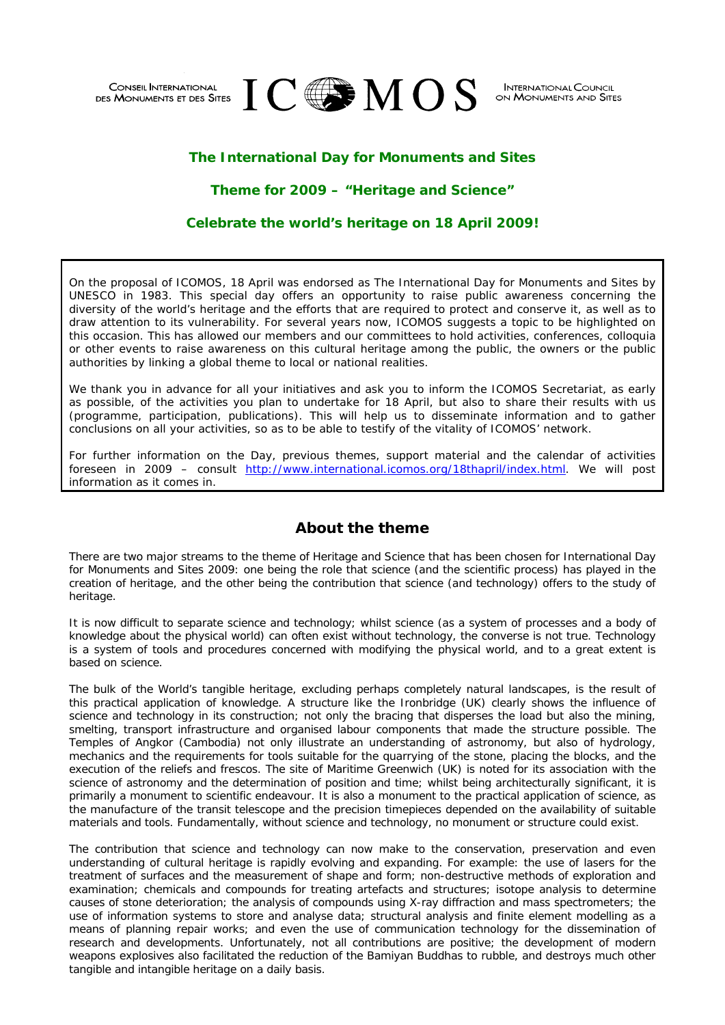

**INTERNATIONAL COUNCIL** ON MONUMENTS AND SITES

# **The International Day for Monuments and Sites**

## **Theme for 2009 – "Heritage and Science"**

## **Celebrate the world's heritage on 18 April 2009!**

On the proposal of ICOMOS, 18 April was endorsed as *The International Day for Monuments and Sites* by UNESCO in 1983. This special day offers an opportunity to raise public awareness concerning the diversity of the world's heritage and the efforts that are required to protect and conserve it, as well as to draw attention to its vulnerability. For several years now, ICOMOS suggests a topic to be highlighted on this occasion. This has allowed our members and our committees to hold activities, conferences, colloquia or other events to raise awareness on this cultural heritage among the public, the owners or the public authorities by linking a global theme to local or national realities.

We thank you in advance for all your initiatives and ask you to inform the ICOMOS Secretariat, as early as possible, of the activities you plan to undertake for 18 April, but also to share their results with us (programme, participation, publications). This will help us to disseminate information and to gather conclusions on all your activities, so as to be able to testify of the vitality of ICOMOS' network.

For further information on the Day, previous themes, support material and the calendar of activities foreseen in 2009 – consult [http://www.international.icomos.org/18thapril/index.html.](http://www.international.icomos.org/18thapril/index.html) We will post information as it comes in.

# **About the theme**

There are two major streams to the theme of *Heritage and Science* that has been chosen for International Day for Monuments and Sites 2009: one being the role that science (and the scientific process) has played in the creation of heritage, and the other being the contribution that science (and technology) offers to the study of heritage.

It is now difficult to separate science and technology; whilst science (as a system of processes and a body of knowledge about the physical world) can often exist without technology, the converse is not true. Technology is a system of tools and procedures concerned with modifying the physical world, and to a great extent is based on science.

The bulk of the World's tangible heritage, excluding perhaps completely natural landscapes, is the result of this practical application of knowledge. A structure like the Ironbridge (UK) clearly shows the influence of science and technology in its construction; not only the bracing that disperses the load but also the mining, smelting, transport infrastructure and organised labour components that made the structure possible. The Temples of Angkor (Cambodia) not only illustrate an understanding of astronomy, but also of hydrology, mechanics and the requirements for tools suitable for the quarrying of the stone, placing the blocks, and the execution of the reliefs and frescos. The site of Maritime Greenwich (UK) is noted for its association with the science of astronomy and the determination of position and time; whilst being architecturally significant, it is primarily a monument to scientific endeavour. It is also a monument to the practical application of science, as the manufacture of the transit telescope and the precision timepieces depended on the availability of suitable materials and tools. Fundamentally, without science and technology, no monument or structure could exist.

The contribution that science and technology can now make to the conservation, preservation and even understanding of cultural heritage is rapidly evolving and expanding. For example: the use of lasers for the treatment of surfaces and the measurement of shape and form; non-destructive methods of exploration and examination; chemicals and compounds for treating artefacts and structures; isotope analysis to determine causes of stone deterioration; the analysis of compounds using X-ray diffraction and mass spectrometers; the use of information systems to store and analyse data; structural analysis and finite element modelling as a means of planning repair works; and even the use of communication technology for the dissemination of research and developments. Unfortunately, not all contributions are positive; the development of modern weapons explosives also facilitated the reduction of the Bamiyan Buddhas to rubble, and destroys much other tangible and intangible heritage on a daily basis.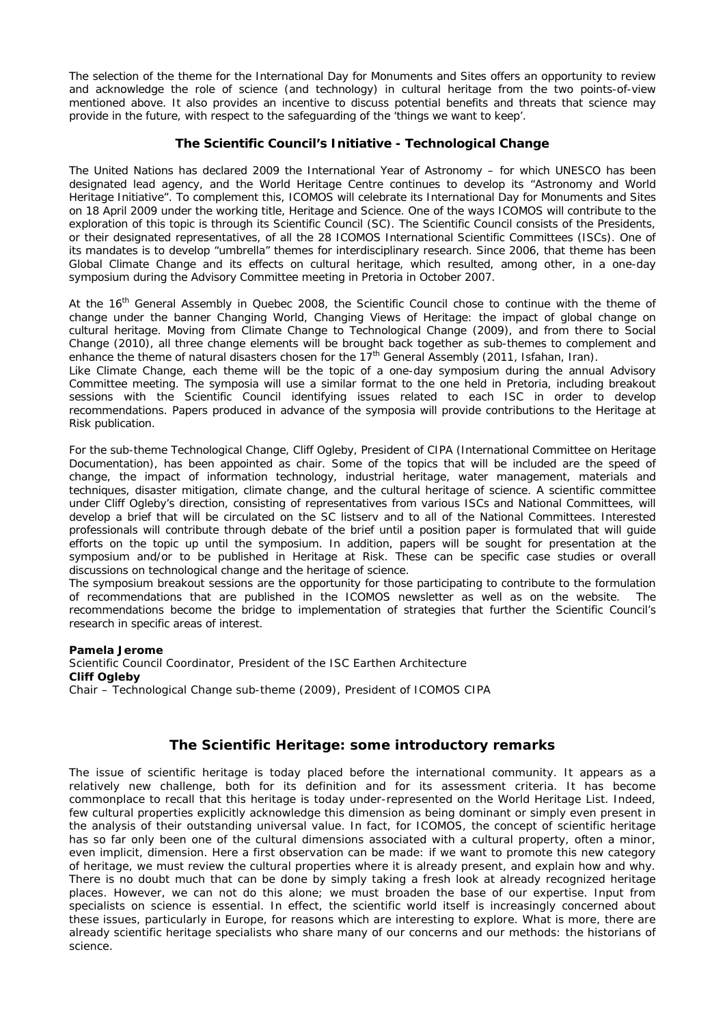The selection of the theme for the International Day for Monuments and Sites offers an opportunity to review and acknowledge the role of science (and technology) in cultural heritage from the two points-of-view mentioned above. It also provides an incentive to discuss potential benefits and threats that science may provide in the future, with respect to the safeguarding of the 'things we want to keep'.

### **The Scientific Council's Initiative - Technological Change**

The United Nations has declared 2009 the International Year of Astronomy – for which UNESCO has been designated lead agency, and the World Heritage Centre continues to develop its "Astronomy and World Heritage Initiative". To complement this, ICOMOS will celebrate its International Day for Monuments and Sites on 18 April 2009 under the working title, *Heritage and Science*. One of the ways ICOMOS will contribute to the exploration of this topic is through its Scientific Council (SC). The Scientific Council consists of the Presidents, or their designated representatives, of all the 28 ICOMOS International Scientific Committees (ISCs). One of its mandates is to develop "umbrella" themes for interdisciplinary research. Since 2006, that theme has been *Global Climate Change and its effects on cultural heritage*, which resulted, among other, in a one-day symposium during the Advisory Committee meeting in Pretoria in October 2007.

At the 16<sup>th</sup> General Assembly in Quebec 2008, the Scientific Council chose to continue with the theme of change under the banner *Changing World, Changing Views of Heritage: the impact of global change on cultural heritage*. Moving from Climate Change to Technological Change (2009), and from there to Social Change (2010), all three change elements will be brought back together as sub-themes to complement and enhance the theme of natural disasters chosen for the 17<sup>th</sup> General Assembly (2011, Isfahan, Iran).

Like Climate Change, each theme will be the topic of a one-day symposium during the annual Advisory Committee meeting. The symposia will use a similar format to the one held in Pretoria, including breakout sessions with the Scientific Council identifying issues related to each ISC in order to develop recommendations. Papers produced in advance of the symposia will provide contributions to the *Heritage at Risk* publication.

For the sub-theme *Technological Change*, Cliff Ogleby, President of CIPA (International Committee on Heritage Documentation), has been appointed as chair. Some of the topics that will be included are the speed of change, the impact of information technology, industrial heritage, water management, materials and techniques, disaster mitigation, climate change, and the cultural heritage of science. A scientific committee under Cliff Ogleby's direction, consisting of representatives from various ISCs and National Committees, will develop a brief that will be circulated on the SC listserv and to all of the National Committees. Interested professionals will contribute through debate of the brief until a position paper is formulated that will quide efforts on the topic up until the symposium. In addition, papers will be sought for presentation at the symposium and/or to be published in *Heritage at Risk*. These can be specific case studies or overall discussions on technological change and the heritage of science.

The symposium breakout sessions are the opportunity for those participating to contribute to the formulation of recommendations that are published in the ICOMOS newsletter as well as on the website. The recommendations become the bridge to implementation of strategies that further the Scientific Council's research in specific areas of interest.

#### **Pamela Jerome**

*Scientific Council Coordinator, President of the ISC Earthen Architecture*  **Cliff Ogleby**  *Chair – Technological Change sub-theme (2009), President of ICOMOS CIPA* 

## **The Scientific Heritage: some introductory remarks**

The issue of scientific heritage is today placed before the international community. It appears as a relatively new challenge, both for its definition and for its assessment criteria. It has become commonplace to recall that this heritage is today under-represented on the World Heritage List. Indeed, few cultural properties explicitly acknowledge this dimension as being dominant or simply even present in the analysis of their outstanding universal value. In fact, for ICOMOS, the concept of scientific heritage has so far only been one of the cultural dimensions associated with a cultural property, often a minor, even implicit, dimension. Here a first observation can be made: if we want to promote this new category of heritage, we must review the cultural properties where it is already present, and explain how and why. There is no doubt much that can be done by simply taking a fresh look at already recognized heritage places. However, we can not do this alone; we must broaden the base of our expertise. Input from specialists on science is essential. In effect, the scientific world itself is increasingly concerned about these issues, particularly in Europe, for reasons which are interesting to explore. What is more, there are already scientific heritage specialists who share many of our concerns and our methods: the historians of science.